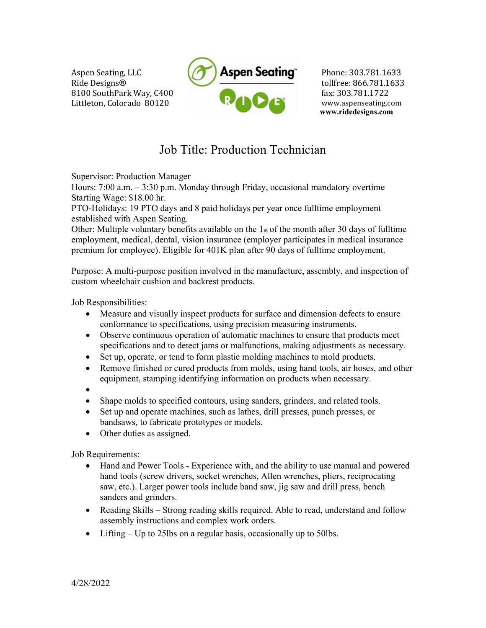Aspen Seating, LLC Ride Designs® 8100 SouthPark Way, C400 Littleton, Colorado 80120



Phone: 303.781.1633 tollfree: 866.781.1633 fax: 303.781.1722 www.aspenseating.com www.ridedesigns.com

## Job Title: Production Technician

Supervisor: Production Manager

Hours: 7:00 a.m. – 3:30 p.m. Monday through Friday, occasional mandatory overtime Starting Wage: \$18.00 hr.

PTO-Holidays: 19 PTO days and 8 paid holidays per year once fulltime employment established with Aspen Seating.

Other: Multiple voluntary benefits available on the  $1<sub>st</sub>$  of the month after 30 days of fulltime employment, medical, dental, vision insurance (employer participates in medical insurance premium for employee). Eligible for 401K plan after 90 days of fulltime employment.

Purpose: A multi-purpose position involved in the manufacture, assembly, and inspection of custom wheelchair cushion and backrest products.

Job Responsibilities:

- Measure and visually inspect products for surface and dimension defects to ensure conformance to specifications, using precision measuring instruments.
- Observe continuous operation of automatic machines to ensure that products meet specifications and to detect jams or malfunctions, making adjustments as necessary.
- Set up, operate, or tend to form plastic molding machines to mold products.
- Remove finished or cured products from molds, using hand tools, air hoses, and other equipment, stamping identifying information on products when necessary.

 $\bullet$ 

- Shape molds to specified contours, using sanders, grinders, and related tools.
- Set up and operate machines, such as lathes, drill presses, punch presses, or bandsaws, to fabricate prototypes or models.
- Other duties as assigned.

Job Requirements:

- Hand and Power Tools Experience with, and the ability to use manual and powered hand tools (screw drivers, socket wrenches, Allen wrenches, pliers, reciprocating saw, etc.). Larger power tools include band saw, jig saw and drill press, bench sanders and grinders.
- Reading Skills Strong reading skills required. Able to read, understand and follow assembly instructions and complex work orders.
- $\bullet$  Lifting Up to 25lbs on a regular basis, occasionally up to 50lbs.